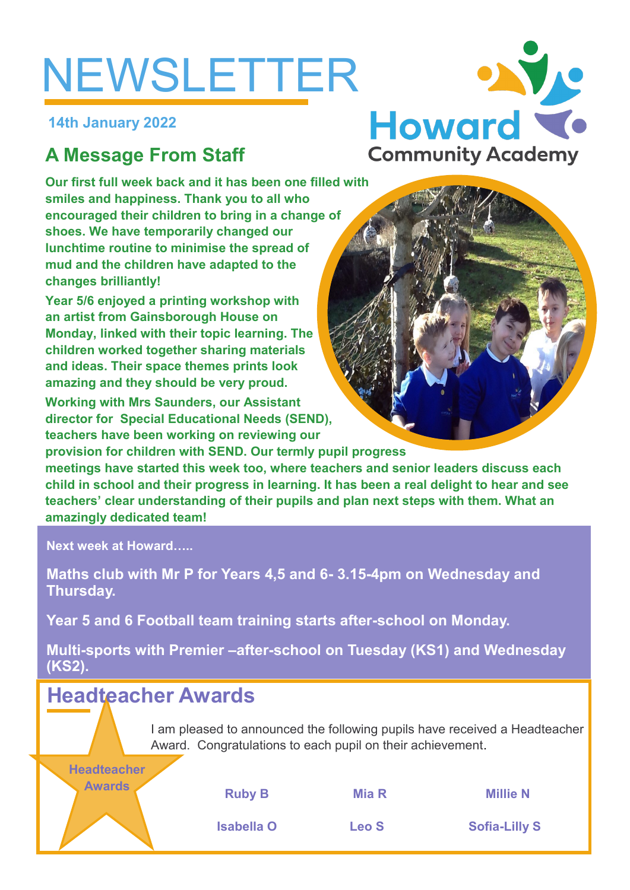# NEWSLETTER

**14th January 2022**

# **A Message From Staff**

**Our first full week back and it has been one filled with smiles and happiness. Thank you to all who encouraged their children to bring in a change of shoes. We have temporarily changed our lunchtime routine to minimise the spread of mud and the children have adapted to the changes brilliantly!**

**Year 5/6 enjoyed a printing workshop with an artist from Gainsborough House on Monday, linked with their topic learning. The children worked together sharing materials and ideas. Their space themes prints look amazing and they should be very proud.** 

**Working with Mrs Saunders, our Assistant director for Special Educational Needs (SEND), teachers have been working on reviewing our** 

**provision for children with SEND. Our termly pupil progress meetings have started this week too, where teachers and senior leaders discuss each child in school and their progress in learning. It has been a real delight to hear and see teachers' clear understanding of their pupils and plan next steps with them. What an amazingly dedicated team!**

**Next week at Howard…..**

**Maths club with Mr P for Years 4,5 and 6- 3.15-4pm on Wednesday and Thursday.**

**Year 5 and 6 Football team training starts after-school on Monday.**

**Multi-sports with Premier –after-school on Tuesday (KS1) and Wednesday (KS2).**

# **Headteacher Awards**

I am pleased to announced the following pupils have received a Headteacher Award. Congratulations to each pupil on their achievement.